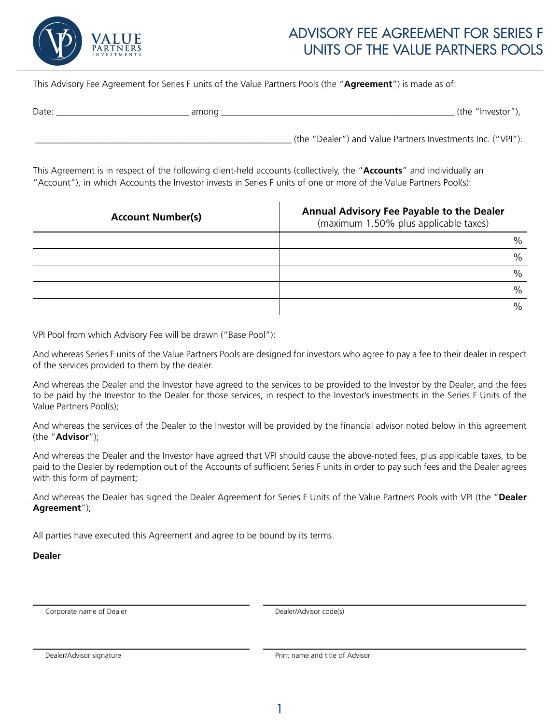

## ADVISORY FEE AGREEMENT FOR SERIES F UNITS OF THE VALUE PARTNERS POOLS

This Advisory Fee Agreement for Series F units of the Value Partners Pools (the "**Agreement**") is made as of:

| Date | amono | (the "Investor" |
|------|-------|-----------------|
|      |       |                 |

\_\_\_\_\_\_\_\_\_\_\_\_\_\_\_\_\_\_\_\_\_\_\_\_\_\_\_\_\_\_\_\_\_\_\_\_\_\_\_\_\_\_\_\_\_\_\_\_\_\_\_\_\_\_\_\_ (the "Dealer") and Value Partners Investments Inc. ("VPI").

This Agreement is in respect of the following client-held accounts (collectively, the "**Accounts**" and individually an "Account"), in which Accounts the Investor invests in Series F units of one or more of the Value Partners Pool(s):

| <b>Account Number(s)</b> | Annual Advisory Fee Payable to the Dealer<br>(maximum 1.50% plus applicable taxes) |  |
|--------------------------|------------------------------------------------------------------------------------|--|
|                          | $\%$                                                                               |  |
|                          | $\%$                                                                               |  |
|                          | $\%$                                                                               |  |
|                          | $\frac{0}{0}$                                                                      |  |
|                          | $\%$                                                                               |  |

VPI Pool from which Advisory Fee will be drawn ("Base Pool"):

And whereas Series F units of the Value Partners Pools are designed for investors who agree to pay a fee to their dealer in respect of the services provided to them by the dealer.

And whereas the Dealer and the Investor have agreed to the services to be provided to the Investor by the Dealer, and the fees to be paid by the Investor to the Dealer for those services, in respect to the Investor's investments in the Series F Units of the Value Partners Pool(s);

And whereas the services of the Dealer to the Investor will be provided by the financial advisor noted below in this agreement (the "**Advisor**");

And whereas the Dealer and the Investor have agreed that VPI should cause the above-noted fees, plus applicable taxes, to be paid to the Dealer by redemption out of the Accounts of sufficient Series F units in order to pay such fees and the Dealer agrees with this form of payment;

And whereas the Dealer has signed the Dealer Agreement for Series F Units of the Value Partners Pools with VPI (the "**Dealer Agreement**");

All parties have executed this Agreement and agree to be bound by its terms.

**Dealer**

Corporate name of Dealer **Dealer Corporate Corporate Advisor code(s)** 

Dealer/Advisor signature **Print name and title of Advisor** Print name and title of Advisor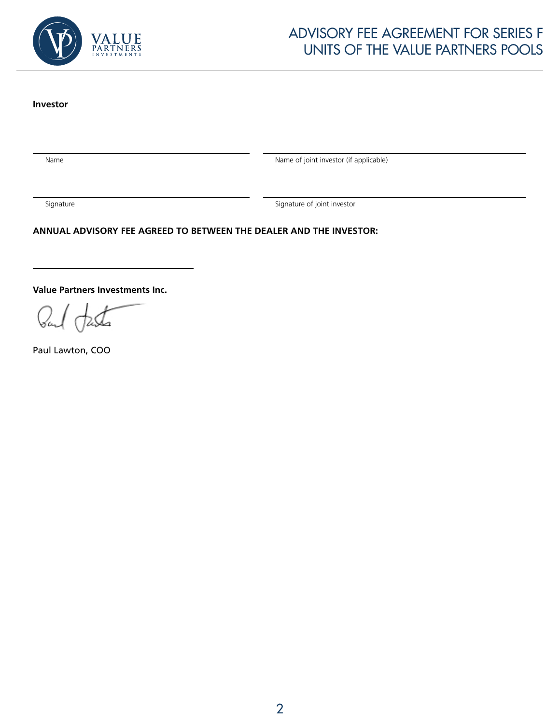

## ADVISORY FEE AGREEMENT FOR SERIES F UNITS OF THE VALUE PARTNERS POOLS

## **Investor**

Name Name and Communication of the Name of joint investor (if applicable)

Signature Signature of joint investor

**ANNUAL ADVISORY FEE AGREED TO BETWEEN THE DEALER AND THE INVESTOR:**

**Value Partners Investments Inc.**

Paul Lawton, COO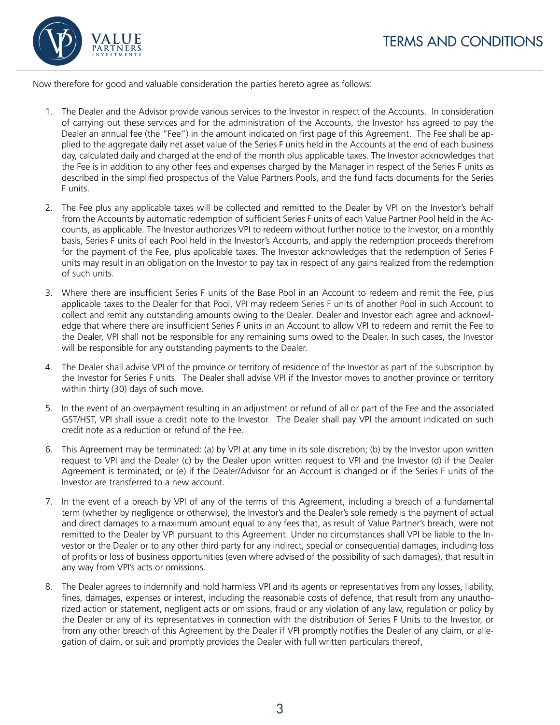

Now therefore for good and valuable consideration the parties hereto agree as follows:

- 1. The Dealer and the Advisor provide various services to the Investor in respect of the Accounts. In consideration of carrying out these services and for the administration of the Accounts, the Investor has agreed to pay the Dealer an annual fee (the "Fee") in the amount indicated on first page of this Agreement. The Fee shall be applied to the aggregate daily net asset value of the Series F units held in the Accounts at the end of each business day, calculated daily and charged at the end of the month plus applicable taxes. The Investor acknowledges that the Fee is in addition to any other fees and expenses charged by the Manager in respect of the Series F units as described in the simplified prospectus of the Value Partners Pools, and the fund facts documents for the Series F units.
- 2. The Fee plus any applicable taxes will be collected and remitted to the Dealer by VPI on the Investor's behalf from the Accounts by automatic redemption of sufficient Series F units of each Value Partner Pool held in the Accounts, as applicable. The Investor authorizes VPI to redeem without further notice to the Investor, on a monthly basis, Series F units of each Pool held in the Investor's Accounts, and apply the redemption proceeds therefrom for the payment of the Fee, plus applicable taxes. The Investor acknowledges that the redemption of Series F units may result in an obligation on the Investor to pay tax in respect of any gains realized from the redemption of such units.
- 3. Where there are insufficient Series F units of the Base Pool in an Account to redeem and remit the Fee, plus applicable taxes to the Dealer for that Pool, VPI may redeem Series F units of another Pool in such Account to collect and remit any outstanding amounts owing to the Dealer. Dealer and Investor each agree and acknowledge that where there are insufficient Series F units in an Account to allow VPI to redeem and remit the Fee to the Dealer, VPI shall not be responsible for any remaining sums owed to the Dealer. In such cases, the Investor will be responsible for any outstanding payments to the Dealer.
- 4. The Dealer shall advise VPI of the province or territory of residence of the Investor as part of the subscription by the Investor for Series F units. The Dealer shall advise VPI if the Investor moves to another province or territory within thirty (30) days of such move.
- 5. In the event of an overpayment resulting in an adjustment or refund of all or part of the Fee and the associated GST/HST, VPI shall issue a credit note to the Investor. The Dealer shall pay VPI the amount indicated on such credit note as a reduction or refund of the Fee.
- 6. This Agreement may be terminated: (a) by VPI at any time in its sole discretion; (b) by the Investor upon written request to VPI and the Dealer (c) by the Dealer upon written request to VPI and the Investor (d) if the Dealer Agreement is terminated; or (e) if the Dealer/Advisor for an Account is changed or if the Series F units of the Investor are transferred to a new account.
- 7. In the event of a breach by VPI of any of the terms of this Agreement, including a breach of a fundamental term (whether by negligence or otherwise), the Investor's and the Dealer's sole remedy is the payment of actual and direct damages to a maximum amount equal to any fees that, as result of Value Partner's breach, were not remitted to the Dealer by VPI pursuant to this Agreement. Under no circumstances shall VPI be liable to the Investor or the Dealer or to any other third party for any indirect, special or consequential damages, including loss of profits or loss of business opportunities (even where advised of the possibility of such damages), that result in any way from VPI's acts or omissions.
- 8. The Dealer agrees to indemnify and hold harmless VPI and its agents or representatives from any losses, liability, fines, damages, expenses or interest, including the reasonable costs of defence, that result from any unauthorized action or statement, negligent acts or omissions, fraud or any violation of any law, regulation or policy by the Dealer or any of its representatives in connection with the distribution of Series F Units to the Investor, or from any other breach of this Agreement by the Dealer if VPI promptly notifies the Dealer of any claim, or allegation of claim, or suit and promptly provides the Dealer with full written particulars thereof,